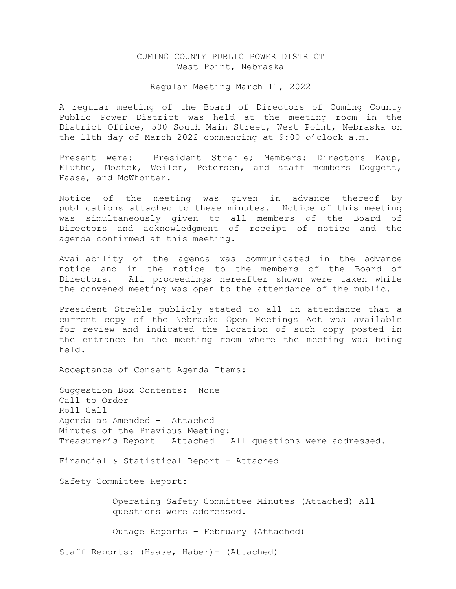# CUMING COUNTY PUBLIC POWER DISTRICT West Point, Nebraska

#### Regular Meeting March 11, 2022

A regular meeting of the Board of Directors of Cuming County Public Power District was held at the meeting room in the District Office, 500 South Main Street, West Point, Nebraska on the 11th day of March 2022 commencing at 9:00 o'clock a.m.

Present were: President Strehle; Members: Directors Kaup, Kluthe, Mostek, Weiler, Petersen, and staff members Doggett, Haase, and McWhorter.

Notice of the meeting was given in advance thereof by publications attached to these minutes. Notice of this meeting was simultaneously given to all members of the Board of Directors and acknowledgment of receipt of notice and the agenda confirmed at this meeting.

Availability of the agenda was communicated in the advance notice and in the notice to the members of the Board of Directors. All proceedings hereafter shown were taken while the convened meeting was open to the attendance of the public.

President Strehle publicly stated to all in attendance that a current copy of the Nebraska Open Meetings Act was available for review and indicated the location of such copy posted in the entrance to the meeting room where the meeting was being held.

Acceptance of Consent Agenda Items:

Suggestion Box Contents: None Call to Order Roll Call Agenda as Amended – Attached Minutes of the Previous Meeting: Treasurer's Report – Attached – All questions were addressed.

Financial & Statistical Report - Attached

Safety Committee Report:

 Operating Safety Committee Minutes (Attached) All questions were addressed.

Outage Reports – February (Attached)

Staff Reports: (Haase, Haber)- (Attached)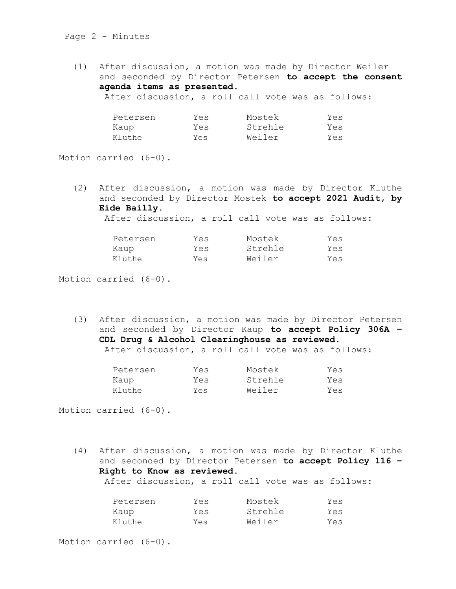## Page 2 - Minutes

(1) After discussion, a motion was made by Director Weiler and seconded by Director Petersen **to accept the consent agenda items as presented.** After discussion, a roll call vote was as follows:

| Petersen | Yes | Mostek  | Yes |
|----------|-----|---------|-----|
| Kaup     | Yes | Strehle | Yes |
| Kluthe   | Yes | Weiler  | Yes |

Motion carried (6-0).

(2) After discussion, a motion was made by Director Kluthe and seconded by Director Mostek **to accept 2021 Audit, by Eide Bailly.** 

After discussion, a roll call vote was as follows:

| Petersen | Yes | Mostek  | Yes |
|----------|-----|---------|-----|
| Kaup     | Yes | Strehle | Yes |
| Kluthe   | Yes | Weiler  | Yes |

Motion carried (6-0).

(3) After discussion, a motion was made by Director Petersen and seconded by Director Kaup **to accept Policy 306A – CDL Drug & Alcohol Clearinghouse as reviewed.** After discussion, a roll call vote was as follows:

| Petersen | Yes | Mostek  | Yes |
|----------|-----|---------|-----|
| Kaup     | Yes | Strehle | Yes |
| Kluthe   | Yes | Weiler  | Yes |

Motion carried (6-0).

(4) After discussion, a motion was made by Director Kluthe and seconded by Director Petersen **to accept Policy 116 – Right to Know as reviewed.**  After discussion, a roll call vote was as follows:

| Petersen | Yes | Mostek  | Yes |
|----------|-----|---------|-----|
| Kaup     | Yes | Strehle | Yes |
| Kluthe   | Yes | Weiler  | Yes |

Motion carried (6-0).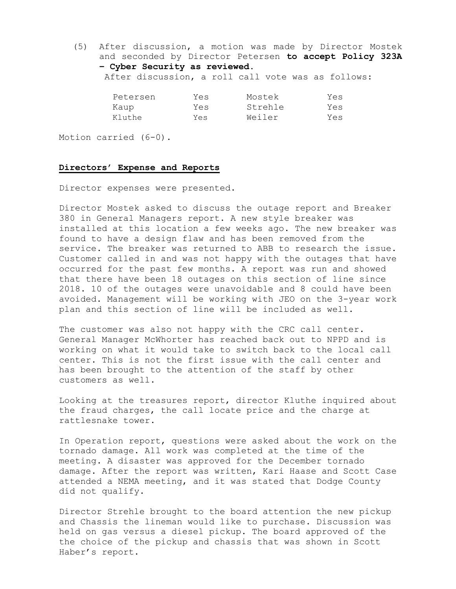(5) After discussion, a motion was made by Director Mostek and seconded by Director Petersen **to accept Policy 323A – Cyber Security as reviewed.** 

After discussion, a roll call vote was as follows:

| Petersen | Yes | Mostek  | Yes |
|----------|-----|---------|-----|
| Kaup     | Yes | Strehle | Yes |
| Kluthe   | Yes | Weiler  | Yes |

Motion carried (6-0).

# **Directors' Expense and Reports**

Director expenses were presented.

Director Mostek asked to discuss the outage report and Breaker 380 in General Managers report. A new style breaker was installed at this location a few weeks ago. The new breaker was found to have a design flaw and has been removed from the service. The breaker was returned to ABB to research the issue. Customer called in and was not happy with the outages that have occurred for the past few months. A report was run and showed that there have been 18 outages on this section of line since 2018. 10 of the outages were unavoidable and 8 could have been avoided. Management will be working with JEO on the 3-year work plan and this section of line will be included as well.

The customer was also not happy with the CRC call center. General Manager McWhorter has reached back out to NPPD and is working on what it would take to switch back to the local call center. This is not the first issue with the call center and has been brought to the attention of the staff by other customers as well.

Looking at the treasures report, director Kluthe inquired about the fraud charges, the call locate price and the charge at rattlesnake tower.

In Operation report, questions were asked about the work on the tornado damage. All work was completed at the time of the meeting. A disaster was approved for the December tornado damage. After the report was written, Kari Haase and Scott Case attended a NEMA meeting, and it was stated that Dodge County did not qualify.

Director Strehle brought to the board attention the new pickup and Chassis the lineman would like to purchase. Discussion was held on gas versus a diesel pickup. The board approved of the the choice of the pickup and chassis that was shown in Scott Haber's report.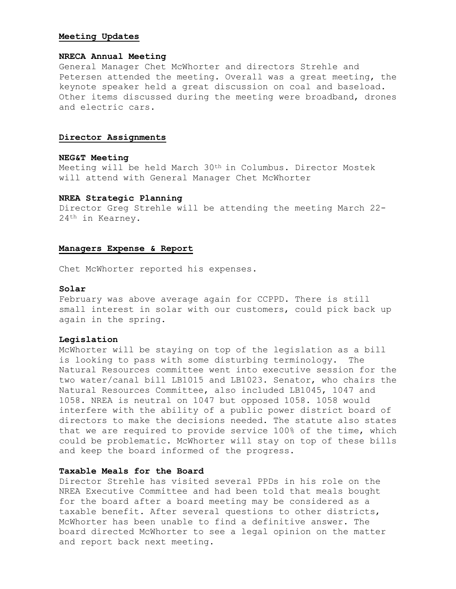## **Meeting Updates**

### **NRECA Annual Meeting**

General Manager Chet McWhorter and directors Strehle and Petersen attended the meeting. Overall was a great meeting, the keynote speaker held a great discussion on coal and baseload. Other items discussed during the meeting were broadband, drones and electric cars.

### **Director Assignments**

### **NEG&T Meeting**

Meeting will be held March 30th in Columbus. Director Mostek will attend with General Manager Chet McWhorter

## **NREA Strategic Planning**

Director Greg Strehle will be attending the meeting March 22- 24th in Kearney.

#### **Managers Expense & Report**

Chet McWhorter reported his expenses.

### **Solar**

February was above average again for CCPPD. There is still small interest in solar with our customers, could pick back up again in the spring.

## **Legislation**

McWhorter will be staying on top of the legislation as a bill is looking to pass with some disturbing terminology. The Natural Resources committee went into executive session for the two water/canal bill LB1015 and LB1023. Senator, who chairs the Natural Resources Committee, also included LB1045, 1047 and 1058. NREA is neutral on 1047 but opposed 1058. 1058 would interfere with the ability of a public power district board of directors to make the decisions needed. The statute also states that we are required to provide service 100% of the time, which could be problematic. McWhorter will stay on top of these bills and keep the board informed of the progress.

# **Taxable Meals for the Board**

Director Strehle has visited several PPDs in his role on the NREA Executive Committee and had been told that meals bought for the board after a board meeting may be considered as a taxable benefit. After several questions to other districts, McWhorter has been unable to find a definitive answer. The board directed McWhorter to see a legal opinion on the matter and report back next meeting.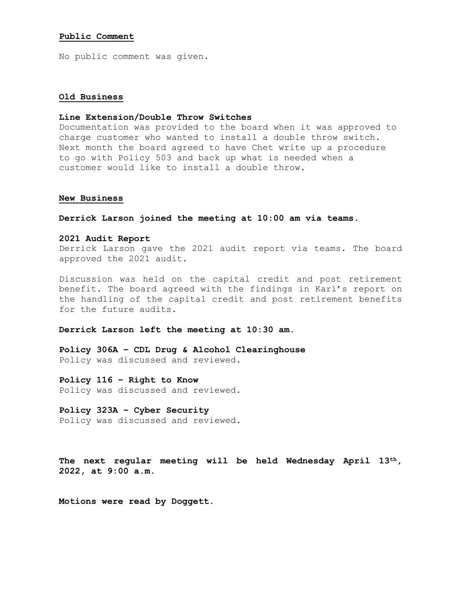#### **Public Comment**

No public comment was given.

## **Old Business**

#### **Line Extension/Double Throw Switches**

Documentation was provided to the board when it was approved to charge customer who wanted to install a double throw switch. Next month the board agreed to have Chet write up a procedure to go with Policy 503 and back up what is needed when a customer would like to install a double throw.

#### **New Business**

**Derrick Larson joined the meeting at 10:00 am via teams.**

### **2021 Audit Report**

Derrick Larson gave the 2021 audit report via teams. The board approved the 2021 audit.

Discussion was held on the capital credit and post retirement benefit. The board agreed with the findings in Kari's report on the handling of the capital credit and post retirement benefits for the future audits.

#### **Derrick Larson left the meeting at 10:30 am.**

**Policy 306A – CDL Drug & Alcohol Clearinghouse** Policy was discussed and reviewed.

**Policy 116 – Right to Know** Policy was discussed and reviewed.

**Policy 323A – Cyber Security** Policy was discussed and reviewed.

**The next regular meeting will be held Wednesday April 13th, 2022, at 9:00 a.m.**

**Motions were read by Doggett.**